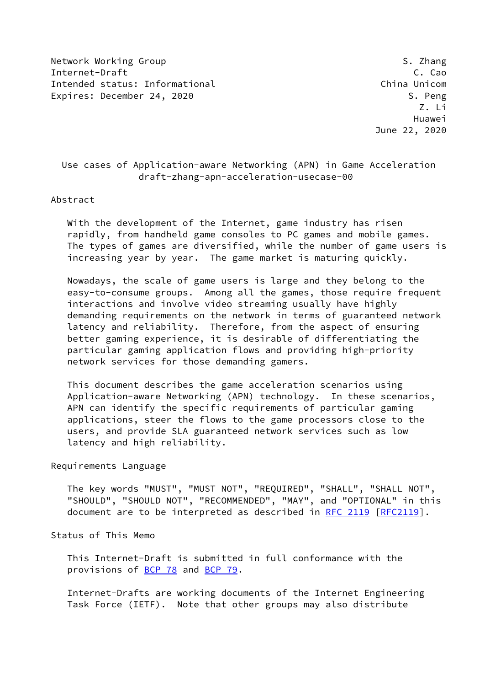Network Working Group Same Solution of the Second State of S. Zhang Internet-Draft C. Cao Intended status: Informational China Unicom Expires: December 24, 2020 S. Peng

 Z. Li Huawei June 22, 2020

# Use cases of Application-aware Networking (APN) in Game Acceleration draft-zhang-apn-acceleration-usecase-00

#### Abstract

 With the development of the Internet, game industry has risen rapidly, from handheld game consoles to PC games and mobile games. The types of games are diversified, while the number of game users is increasing year by year. The game market is maturing quickly.

 Nowadays, the scale of game users is large and they belong to the easy-to-consume groups. Among all the games, those require frequent interactions and involve video streaming usually have highly demanding requirements on the network in terms of guaranteed network latency and reliability. Therefore, from the aspect of ensuring better gaming experience, it is desirable of differentiating the particular gaming application flows and providing high-priority network services for those demanding gamers.

 This document describes the game acceleration scenarios using Application-aware Networking (APN) technology. In these scenarios, APN can identify the specific requirements of particular gaming applications, steer the flows to the game processors close to the users, and provide SLA guaranteed network services such as low latency and high reliability.

### Requirements Language

 The key words "MUST", "MUST NOT", "REQUIRED", "SHALL", "SHALL NOT", "SHOULD", "SHOULD NOT", "RECOMMENDED", "MAY", and "OPTIONAL" in this document are to be interpreted as described in [RFC 2119 \[RFC2119](https://datatracker.ietf.org/doc/pdf/rfc2119)].

## Status of This Memo

 This Internet-Draft is submitted in full conformance with the provisions of [BCP 78](https://datatracker.ietf.org/doc/pdf/bcp78) and [BCP 79](https://datatracker.ietf.org/doc/pdf/bcp79).

 Internet-Drafts are working documents of the Internet Engineering Task Force (IETF). Note that other groups may also distribute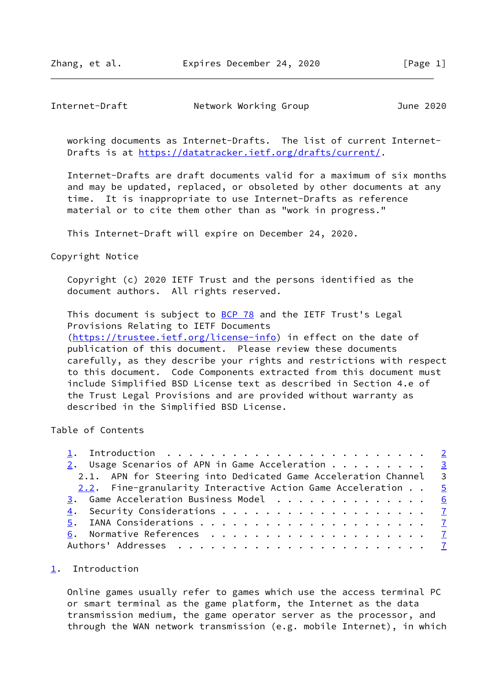## <span id="page-1-1"></span>Internet-Draft Network Working Group 101 June 2020

 working documents as Internet-Drafts. The list of current Internet- Drafts is at<https://datatracker.ietf.org/drafts/current/>.

 Internet-Drafts are draft documents valid for a maximum of six months and may be updated, replaced, or obsoleted by other documents at any time. It is inappropriate to use Internet-Drafts as reference material or to cite them other than as "work in progress."

This Internet-Draft will expire on December 24, 2020.

#### Copyright Notice

 Copyright (c) 2020 IETF Trust and the persons identified as the document authors. All rights reserved.

This document is subject to **[BCP 78](https://datatracker.ietf.org/doc/pdf/bcp78)** and the IETF Trust's Legal Provisions Relating to IETF Documents [\(https://trustee.ietf.org/license-info](https://trustee.ietf.org/license-info)) in effect on the date of publication of this document. Please review these documents carefully, as they describe your rights and restrictions with respect to this document. Code Components extracted from this document must include Simplified BSD License text as described in Section 4.e of the Trust Legal Provisions and are provided without warranty as described in the Simplified BSD License.

# Table of Contents

| 2. Usage Scenarios of APN in Game Acceleration $\cdots$ 3        |  |
|------------------------------------------------------------------|--|
| 2.1. APN for Steering into Dedicated Game Acceleration Channel 3 |  |
| 2.2. Fine-granularity Interactive Action Game Acceleration 5     |  |
| 3. Game Acceleration Business Model 6                            |  |
|                                                                  |  |
|                                                                  |  |
|                                                                  |  |
|                                                                  |  |

## <span id="page-1-0"></span>[1](#page-1-0). Introduction

 Online games usually refer to games which use the access terminal PC or smart terminal as the game platform, the Internet as the data transmission medium, the game operator server as the processor, and through the WAN network transmission (e.g. mobile Internet), in which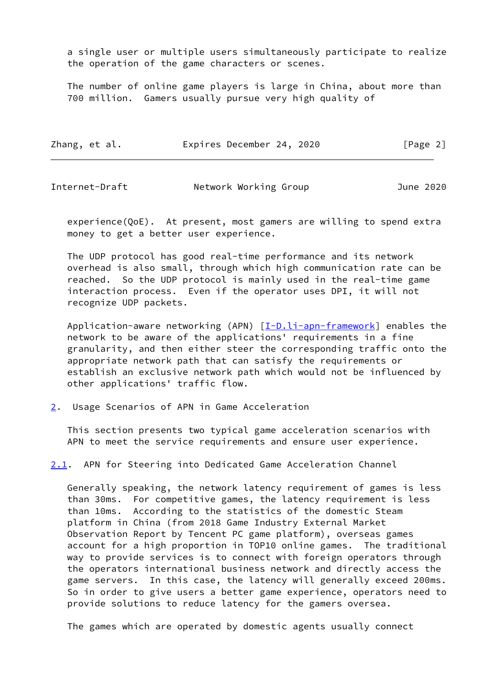a single user or multiple users simultaneously participate to realize the operation of the game characters or scenes.

 The number of online game players is large in China, about more than 700 million. Gamers usually pursue very high quality of

| Zhang, et al. | Expires December 24, 2020 | [Page 2] |
|---------------|---------------------------|----------|
|---------------|---------------------------|----------|

<span id="page-2-1"></span>Internet-Draft Network Working Group June 2020

 experience(QoE). At present, most gamers are willing to spend extra money to get a better user experience.

 The UDP protocol has good real-time performance and its network overhead is also small, through which high communication rate can be reached. So the UDP protocol is mainly used in the real-time game interaction process. Even if the operator uses DPI, it will not recognize UDP packets.

Application-aware networking (APN)  $[I-D.li-agn-frame work]$  enables the network to be aware of the applications' requirements in a fine granularity, and then either steer the corresponding traffic onto the appropriate network path that can satisfy the requirements or establish an exclusive network path which would not be influenced by other applications' traffic flow.

<span id="page-2-0"></span>[2](#page-2-0). Usage Scenarios of APN in Game Acceleration

 This section presents two typical game acceleration scenarios with APN to meet the service requirements and ensure user experience.

<span id="page-2-2"></span>[2.1](#page-2-2). APN for Steering into Dedicated Game Acceleration Channel

 Generally speaking, the network latency requirement of games is less than 30ms. For competitive games, the latency requirement is less than 10ms. According to the statistics of the domestic Steam platform in China (from 2018 Game Industry External Market Observation Report by Tencent PC game platform), overseas games account for a high proportion in TOP10 online games. The traditional way to provide services is to connect with foreign operators through the operators international business network and directly access the game servers. In this case, the latency will generally exceed 200ms. So in order to give users a better game experience, operators need to provide solutions to reduce latency for the gamers oversea.

The games which are operated by domestic agents usually connect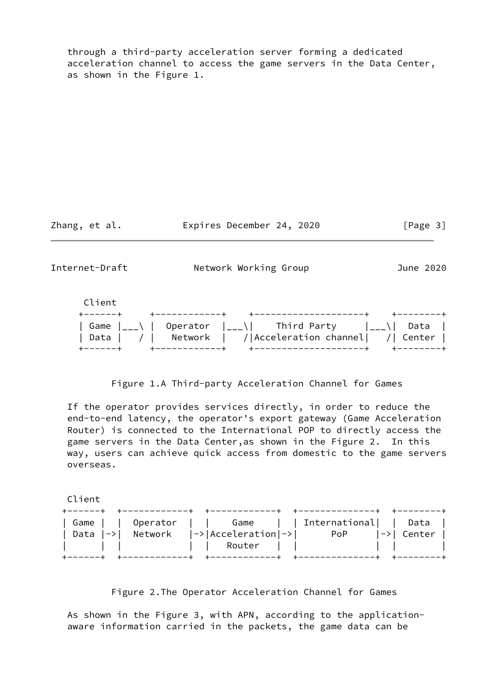through a third-party acceleration server forming a dedicated acceleration channel to access the game servers in the Data Center, as shown in the Figure 1.

Zhang, et al. **Expires December 24, 2020** [Page 3]

Internet-Draft Metwork Working Group 701 June 2020



## Figure 1.A Third-party Acceleration Channel for Games

 If the operator provides services directly, in order to reduce the end-to-end latency, the operator's export gateway (Game Acceleration Router) is connected to the International POP to directly access the game servers in the Data Center,as shown in the Figure 2. In this way, users can achieve quick access from domestic to the game servers overseas.

Client

|                                                    | Game     Operator     Game     International   Data |  |
|----------------------------------------------------|-----------------------------------------------------|--|
| Data $ -> $ Network $ -> $ Acceleration $ -> $ PoP | $ -> $ Center $ $                                   |  |
|                                                    |                                                     |  |
|                                                    |                                                     |  |

Figure 2.The Operator Acceleration Channel for Games

 As shown in the Figure 3, with APN, according to the application aware information carried in the packets, the game data can be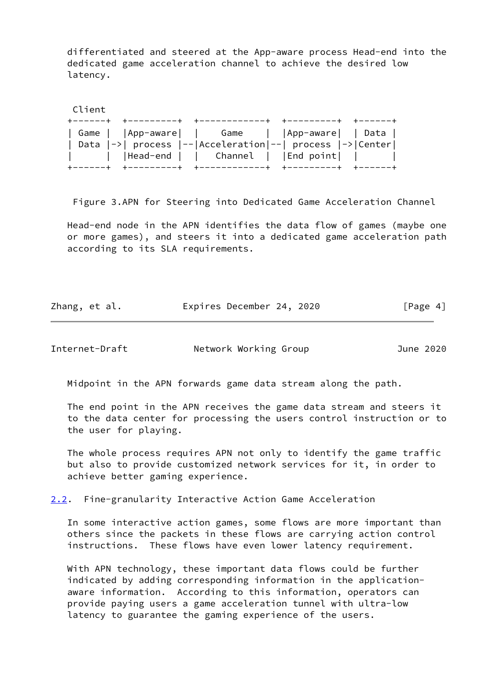differentiated and steered at the App-aware process Head-end into the dedicated game acceleration channel to achieve the desired low latency.

 Client +------+ +---------+ +------------+ +---------+ +------+ | Game | |App-aware| | Game | |App-aware| | Data | | Data |->| process |--|Acceleration|--| process |->|Center| | | |Head-end | | Channel | |End point| | | +------+ +---------+ +------------+ +---------+ +------+

Figure 3.APN for Steering into Dedicated Game Acceleration Channel

 Head-end node in the APN identifies the data flow of games (maybe one or more games), and steers it into a dedicated game acceleration path according to its SLA requirements.

| Zhang, et al. | Expires December 24, 2020 | [Page 4] |
|---------------|---------------------------|----------|
|               |                           |          |

<span id="page-4-1"></span>Internet-Draft Network Working Group June 2020

Midpoint in the APN forwards game data stream along the path.

 The end point in the APN receives the game data stream and steers it to the data center for processing the users control instruction or to the user for playing.

 The whole process requires APN not only to identify the game traffic but also to provide customized network services for it, in order to achieve better gaming experience.

<span id="page-4-0"></span>[2.2](#page-4-0). Fine-granularity Interactive Action Game Acceleration

 In some interactive action games, some flows are more important than others since the packets in these flows are carrying action control instructions. These flows have even lower latency requirement.

 With APN technology, these important data flows could be further indicated by adding corresponding information in the application aware information. According to this information, operators can provide paying users a game acceleration tunnel with ultra-low latency to guarantee the gaming experience of the users.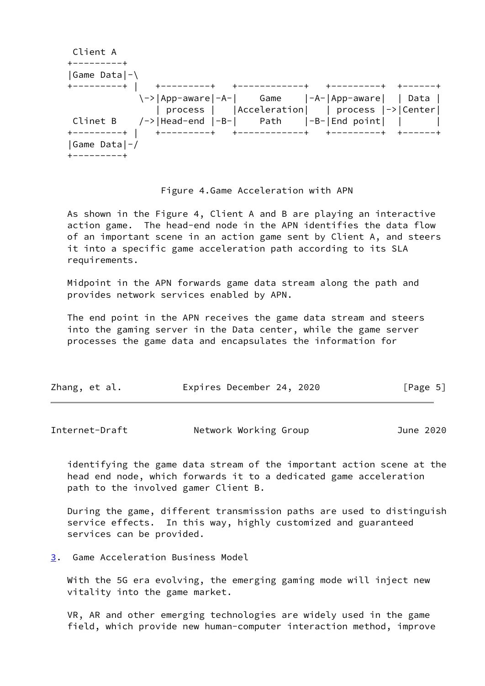Client A +---------+ |Game Data|-\ +---------+ | +---------+ +------------+ +---------+ +------+ \->|App-aware|-A-| Game |-A-|App-aware| | Data | | process | |Acceleration| | process |->|Center| Clinet B  $/ \rightarrow$  |Head-end |-B-| Path |-B-|End point| | | +---------+ | +---------+ +------------+ +---------+ +------+ |Game Data|-/ +---------+

### Figure 4.Game Acceleration with APN

 As shown in the Figure 4, Client A and B are playing an interactive action game. The head-end node in the APN identifies the data flow of an important scene in an action game sent by Client A, and steers it into a specific game acceleration path according to its SLA requirements.

 Midpoint in the APN forwards game data stream along the path and provides network services enabled by APN.

 The end point in the APN receives the game data stream and steers into the gaming server in the Data center, while the game server processes the game data and encapsulates the information for

| Zhang, et al. |  |  | Expires December 24, 2020 |  |  | [Page 5] |  |
|---------------|--|--|---------------------------|--|--|----------|--|
|---------------|--|--|---------------------------|--|--|----------|--|

<span id="page-5-1"></span>Internet-Draft **Network Working Group** June 2020

 identifying the game data stream of the important action scene at the head end node, which forwards it to a dedicated game acceleration path to the involved gamer Client B.

 During the game, different transmission paths are used to distinguish service effects. In this way, highly customized and guaranteed services can be provided.

<span id="page-5-0"></span>[3](#page-5-0). Game Acceleration Business Model

 With the 5G era evolving, the emerging gaming mode will inject new vitality into the game market.

 VR, AR and other emerging technologies are widely used in the game field, which provide new human-computer interaction method, improve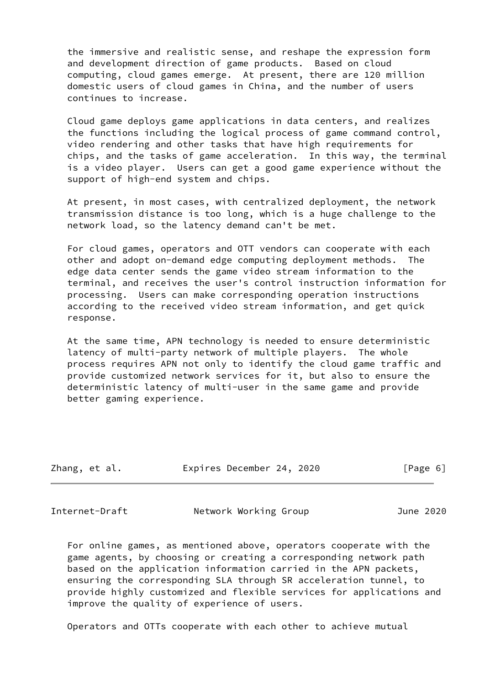the immersive and realistic sense, and reshape the expression form and development direction of game products. Based on cloud computing, cloud games emerge. At present, there are 120 million domestic users of cloud games in China, and the number of users continues to increase.

 Cloud game deploys game applications in data centers, and realizes the functions including the logical process of game command control, video rendering and other tasks that have high requirements for chips, and the tasks of game acceleration. In this way, the terminal is a video player. Users can get a good game experience without the support of high-end system and chips.

 At present, in most cases, with centralized deployment, the network transmission distance is too long, which is a huge challenge to the network load, so the latency demand can't be met.

 For cloud games, operators and OTT vendors can cooperate with each other and adopt on-demand edge computing deployment methods. The edge data center sends the game video stream information to the terminal, and receives the user's control instruction information for processing. Users can make corresponding operation instructions according to the received video stream information, and get quick response.

 At the same time, APN technology is needed to ensure deterministic latency of multi-party network of multiple players. The whole process requires APN not only to identify the cloud game traffic and provide customized network services for it, but also to ensure the deterministic latency of multi-user in the same game and provide better gaming experience.

| Zhang, et al. | Expires December 24, 2020 | [Page 6] |
|---------------|---------------------------|----------|
|               |                           |          |

<span id="page-6-0"></span>

Internet-Draft Network Working Group June 2020

 For online games, as mentioned above, operators cooperate with the game agents, by choosing or creating a corresponding network path based on the application information carried in the APN packets, ensuring the corresponding SLA through SR acceleration tunnel, to provide highly customized and flexible services for applications and improve the quality of experience of users.

Operators and OTTs cooperate with each other to achieve mutual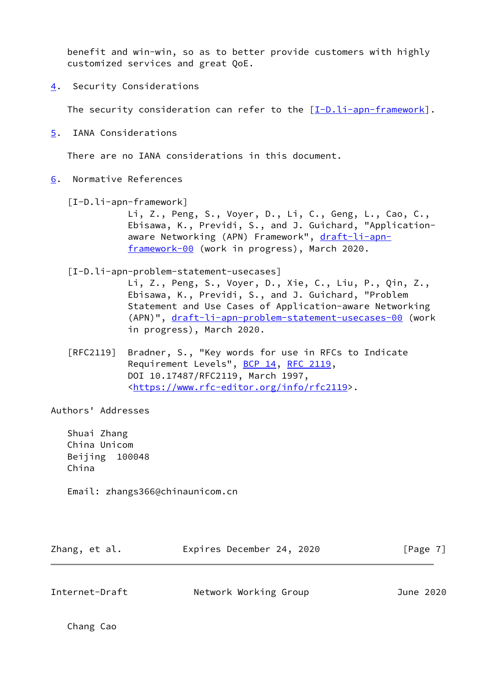benefit and win-win, so as to better provide customers with highly customized services and great QoE.

<span id="page-7-0"></span>[4](#page-7-0). Security Considerations

The security consideration can refer to the  $[I-D.1i-apn-framework]$ .

<span id="page-7-1"></span>[5](#page-7-1). IANA Considerations

There are no IANA considerations in this document.

- <span id="page-7-3"></span><span id="page-7-2"></span>[6](#page-7-2). Normative References
	- [I-D.li-apn-framework]

 Li, Z., Peng, S., Voyer, D., Li, C., Geng, L., Cao, C., Ebisawa, K., Previdi, S., and J. Guichard, "Application aware Networking (APN) Framework", [draft-li-apn](https://datatracker.ietf.org/doc/pdf/draft-li-apn-framework-00) [framework-00](https://datatracker.ietf.org/doc/pdf/draft-li-apn-framework-00) (work in progress), March 2020.

[I-D.li-apn-problem-statement-usecases]

 Li, Z., Peng, S., Voyer, D., Xie, C., Liu, P., Qin, Z., Ebisawa, K., Previdi, S., and J. Guichard, "Problem Statement and Use Cases of Application-aware Networking (APN)", [draft-li-apn-problem-statement-usecases-00](https://datatracker.ietf.org/doc/pdf/draft-li-apn-problem-statement-usecases-00) (work in progress), March 2020.

 [RFC2119] Bradner, S., "Key words for use in RFCs to Indicate Requirement Levels", [BCP 14](https://datatracker.ietf.org/doc/pdf/bcp14), [RFC 2119](https://datatracker.ietf.org/doc/pdf/rfc2119), DOI 10.17487/RFC2119, March 1997, <[https://www.rfc-editor.org/info/rfc2119>](https://www.rfc-editor.org/info/rfc2119).

Authors' Addresses

 Shuai Zhang China Unicom Beijing 100048 China

Email: zhangs366@chinaunicom.cn

| Zhang, et al. | Expires December 24, 2020 |  | [Page 7] |
|---------------|---------------------------|--|----------|
|               |                           |  |          |

Internet-Draft Network Working Group June 2020